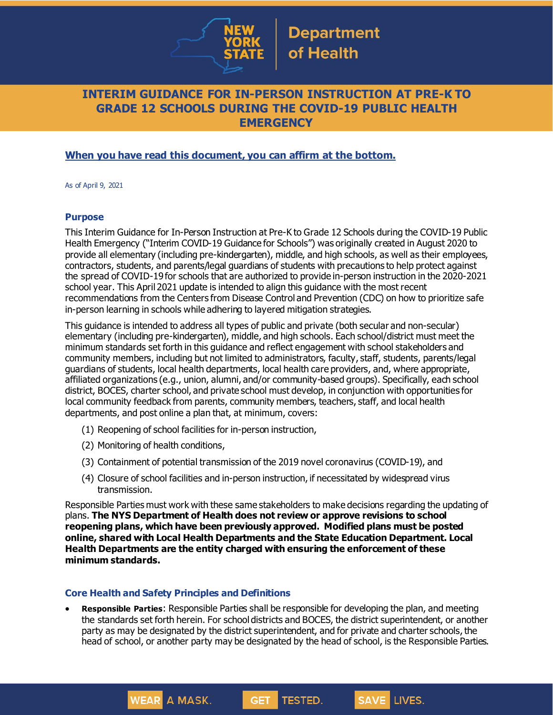

## **INTERIM GUIDANCE FOR IN-PERSON INSTRUCTION AT PRE-K TO GRADE 12 SCHOOLS DURING THE COVID-19 PUBLIC HEALTH EMERGENCY**

## **When you have read this document, you can affirm at the bottom.**

As of April 9, 2021

#### **Purpose**

This Interim Guidance for In-Person Instruction at Pre-K to Grade 12 Schools during the COVID-19 Public Health Emergency ("Interim COVID-19 Guidance for Schools") was originally created in August 2020 to provide all elementary (including pre-kindergarten), middle, and high schools, as well as their employees, contractors, students, and parents/legal guardians of students with precautions to help protect against the spread of COVID-19 for schools that are authorized to provide in-person instruction in the 2020-2021 school year. This April 2021 update is intended to align this guidance with the most recent recommendations from the Centers from Disease Control and Prevention (CDC) on how to prioritize safe in-person learning in schools while adhering to layered mitigation strategies.

This guidance is intended to address all types of public and private (both secular and non-secular) elementary (including pre-kindergarten), middle, and high schools. Each school/district must meet the minimum standards set forth in this guidance and reflect engagement with school stakeholders and community members, including but not limited to administrators, faculty, staff, students, parents/legal guardians of students, local health departments, local health care providers, and, where appropriate, affiliated organizations (e.g., union, alumni, and/or community-based groups). Specifically, each school district, BOCES, charter school, and private school must develop, in conjunction with opportunities for local community feedback from parents, community members, teachers, staff, and local health departments, and post online a plan that, at minimum, covers:

- (1) Reopening of school facilities for in-person instruction,
- (2) Monitoring of health conditions,
- (3) Containment of potential transmission of the 2019 novel coronavirus (COVID-19), and
- (4) Closure of school facilities and in-person instruction, if necessitated by widespread virus transmission.

Responsible Parties must work with these same stakeholders to make decisions regarding the updating of plans. **The NYS Department of Health does not review or approve revisions to school reopening plans, which have been previously approved. Modified plans must be posted online, shared with Local Health Departments and the State Education Department. Local Health Departments are the entity charged with ensuring the enforcement of these minimum standards.**

#### **Core Health and Safety Principles and Definitions**

**WEAR A MASK.** 

• **Responsible Parties**: Responsible Parties shall be responsible for developing the plan, and meeting the standards set forth herein. For school districts and BOCES, the district superintendent, or another party as may be designated by the district superintendent, and for private and charter schools, the head of school, or another party may be designated by the head of school, is the Responsible Parties.

TESTED.

**GET**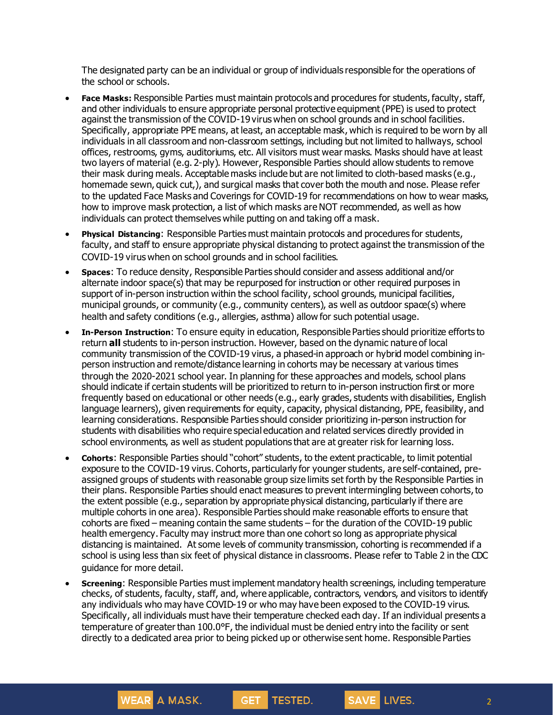The designated party can be an individual or group of individuals responsible for the operations of the school or schools.

- **Face Masks:** Responsible Parties must maintain protocols and procedures for students, faculty, staff, and other individuals to ensure appropriate personal protective equipment (PPE) is used to protect against the transmission of the COVID-19 virus when on school grounds and in school facilities. Specifically, appropriate PPE means, at least, an acceptable mask, which is required to be worn by all individuals in all classroom and non-classroom settings, including but not limited to hallways, school offices, restrooms, gyms, auditoriums, etc. All visitors must wear masks. Masks should have at least two layers of material (e.g. 2-ply). However, Responsible Parties should allow students to remove their mask during meals. Acceptable masks include but are not limited to cloth-based masks (e.g., homemade sewn, quick cut,), and surgical masks that cover both the mouth and nose. Please refer to the updated Face Masks and Coverings for COVID-19 for recommendations on how to wear masks, how to improve mask protection, a list of which masks are NOT recommended, as well as how individuals can protect themselves while putting on and taking off a mask.
- **Physical Distancing**: Responsible Parties must maintain protocols and procedures for students, faculty, and staff to ensure appropriate physical distancing to protect against the transmission of the COVID-19 virus when on school grounds and in school facilities.
- **Spaces**: To reduce density, Responsible Parties should consider and assess additional and/or alternate indoor space(s) that may be repurposed for instruction or other required purposes in support of in-person instruction within the school facility, school grounds, municipal facilities, municipal grounds, or community (e.g., community centers), as well as outdoor space(s) where health and safety conditions (e.g., allergies, asthma) allow for such potential usage.
- **In-Person Instruction**: To ensure equity in education, Responsible Parties should prioritize efforts to return **all** students to in-person instruction. However, based on the dynamic nature of local community transmission of the COVID-19 virus, a phased-in approach or hybrid model combining inperson instruction and remote/distance learning in cohorts may be necessary at various times through the 2020-2021 school year. In planning for these approaches and models, school plans should indicate if certain students will be prioritized to return to in-person instruction first or more frequently based on educational or other needs (e.g., early grades, students with disabilities, English language learners), given requirements for equity, capacity, physical distancing, PPE, feasibility, and learning considerations. Responsible Parties should consider prioritizing in-person instruction for students with disabilities who require special education and related services directly provided in school environments, as well as student populations that are at greater risk for learning loss.
- **Cohorts**: Responsible Parties should "cohort" students, to the extent practicable, to limit potential exposure to the COVID-19 virus. Cohorts, particularly for younger students, are self-contained, preassigned groups of students with reasonable group size limits set forth by the Responsible Parties in their plans. Responsible Parties should enact measures to prevent intermingling between cohorts, to the extent possible (e.g., separation by appropriate physical distancing, particularly if there are multiple cohorts in one area). Responsible Parties should make reasonable efforts to ensure that cohorts are fixed – meaning contain the same students – for the duration of the COVID-19 public health emergency. Faculty may instruct more than one cohort so long as appropriate physical distancing is maintained. At some levels of community transmission, cohorting is recommended if a school is using less than six feet of physical distance in classrooms. Please refer to Table 2 in the CDC guidance for more detail.
- **Screening**: Responsible Parties must implement mandatory health screenings, including temperature checks, of students, faculty, staff, and, where applicable, contractors, vendors, and visitors to identify any individuals who may have COVID-19 or who may have been exposed to the COVID-19 virus. Specifically, all individuals must have their temperature checked each day. If an individual presents a temperature of greater than 100.0°F, the individual must be denied entry into the facility or sent directly to a dedicated area prior to being picked up or otherwise sent home. Responsible Parties

**TESTED.** 

**GET** 

**WEAR A MASK.**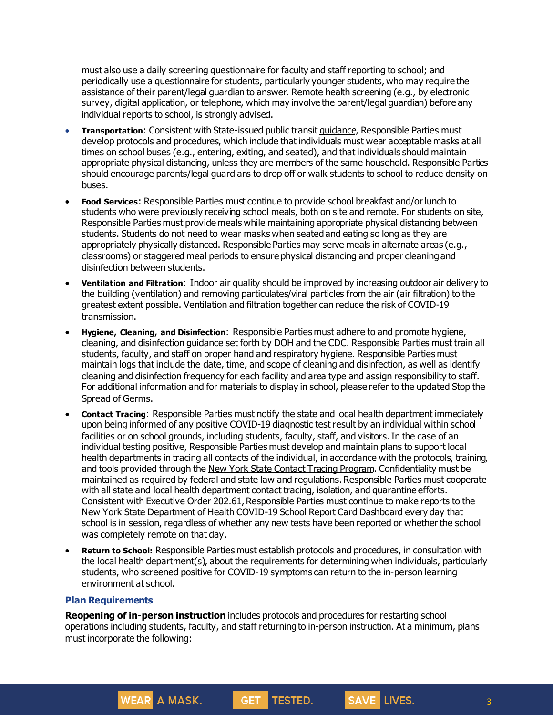must also use a daily screening questionnaire for faculty and staff reporting to school; and periodically use a questionnaire for students, particularly younger students, who may require the assistance of their parent/legal guardian to answer. Remote health screening (e.g., by electronic survey, digital application, or telephone, which may involve the parent/legal guardian) before any individual reports to school, is strongly advised.

- **Transportation**: Consistent with State-issued public transit [guidance](https://www.governor.ny.gov/sites/governor.ny.gov/files/atoms/files/PublicTransportationMasterGuidance.pdf), Responsible Parties must develop protocols and procedures, which include that individuals must wear acceptable masks at all times on school buses (e.g., entering, exiting, and seated), and that individuals should maintain appropriate physical distancing, unless they are members of the same household. Responsible Parties should encourage parents/legal guardians to drop off or walk students to school to reduce density on buses.
- **Food Services**: Responsible Parties must continue to provide school breakfast and/or lunch to students who were previously receiving school meals, both on site and remote. For students on site, Responsible Parties must provide meals while maintaining appropriate physical distancing between students. Students do not need to wear masks when seated and eating so long as they are appropriately physically distanced. Responsible Parties may serve meals in alternate areas (e.g., classrooms) or staggered meal periods to ensure physical distancing and proper cleaningand disinfection between students.
- **Ventilation and Filtration**: Indoor air quality should be improved by increasing outdoor air delivery to the building (ventilation) and removing particulates/viral particles from the air (air filtration) to the greatest extent possible. Ventilation and filtration together can reduce the risk of COVID-19 transmission.
- **Hygiene, Cleaning, and Disinfection**: Responsible Parties must adhere to and promote hygiene, cleaning, and disinfection guidance set forth by DOH and the CDC. Responsible Parties must train all students, faculty, and staff on proper hand and respiratory hygiene. Responsible Parties must maintain logs that include the date, time, and scope of cleaning and disinfection, as well as identify cleaning and disinfection frequency for each facility and area type and assign responsibility to staff. For additional information and for materials to display in school, please refer to the updated Stop the Spread of Germs.
- **Contact Tracing**: Responsible Parties must notify the state and local health department immediately upon being informed of any positive COVID-19 diagnostic test result by an individual within school facilities or on school grounds, including students, faculty, staff, and visitors. In the case of an individual testing positive, Responsible Parties must develop and maintain plans to support local health departments in tracing all contacts of the individual, in accordance with the protocols, training, and tools provided through the New York State Contact Tracing [Program](https://coronavirus.health.ny.gov/new-york-state-contact-tracing). Confidentiality must be maintained as required by federal and state law and regulations. Responsible Parties must cooperate with all state and local health department contact tracing, isolation, and quarantine efforts. Consistent with Executive Order 202.61, Responsible Parties must continue to make reports to the New York State Department of Health COVID-19 School Report Card Dashboard every day that school is in session, regardless of whether any new tests have been reported or whether the school was completely remote on that day.
- **Return to School:** Responsible Parties must establish protocols and procedures, in consultation with the local health department(s), about the requirements for determining when individuals, particularly students, who screened positive for COVID-19 symptoms can return to the in-person learning environment at school.

#### **Plan Requirements**

WEAR A MASK.

**Reopening of in-person instruction** includes protocols and procedures for restarting school operations including students, faculty, and staff returning to in-person instruction. At a minimum, plans must incorporate the following:

TESTED.

GET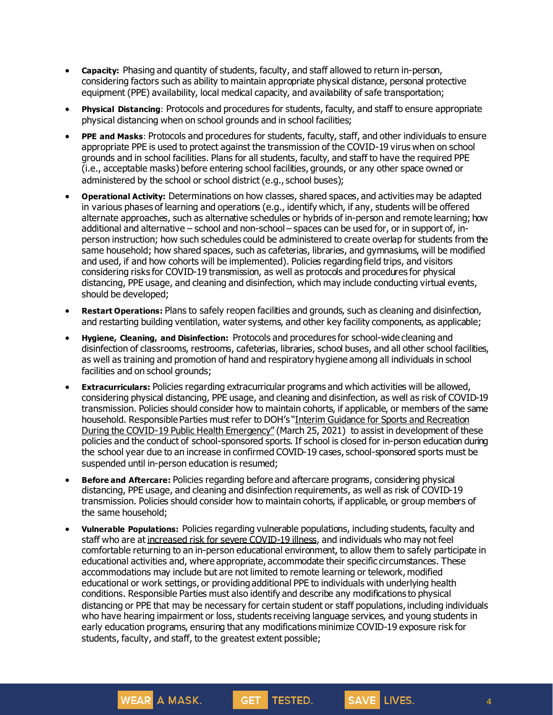- **Capacity:** Phasing and quantity of students, faculty, and staff allowed to return in-person, considering factors such as ability to maintain appropriate physical distance, personal protective equipment (PPE) availability, local medical capacity, and availability of safe transportation;
- **Physical Distancing**: Protocols and procedures for students, faculty, and staff to ensure appropriate physical distancing when on school grounds and in school facilities;
- **PPE and Masks**: Protocols and procedures for students, faculty, staff, and other individuals to ensure appropriate PPE is used to protect against the transmission of the COVID-19 virus when on school grounds and in school facilities. Plans for all students, faculty, and staff to have the required PPE (i.e., acceptable masks) before entering school facilities, grounds, or any other space owned or administered by the school or school district (e.g., school buses);
- **Operational Activity:** Determinations on how classes, shared spaces, and activities may be adapted in various phases of learning and operations (e.g., identify which, if any, students will be offered alternate approaches, such as alternative schedules or hybrids of in-person and remote learning; how additional and alternative – school and non-school – spaces can be used for, or in support of, inperson instruction; how such schedules could be administered to create overlap for students from the same household; how shared spaces, such as cafeterias, libraries, and gymnasiums, will be modified and used, if and how cohorts will be implemented). Policies regarding field trips, and visitors considering risks for COVID-19 transmission, as well as protocols and procedures for physical distancing, PPE usage, and cleaning and disinfection, which may include conducting virtual events, should be developed;
- **Restart Operations:** Plans to safely reopen facilities and grounds, such as cleaning and disinfection, and restarting building ventilation, water systems, and other key facility components, as applicable;
- **Hygiene, Cleaning, and Disinfection:** Protocols and procedures for school-wide cleaning and disinfection of classrooms, restrooms, cafeterias, libraries, school buses, and all other school facilities, as well as training and promotion of hand and respiratory hygiene among all individuals in school facilities and on school grounds;
- **Extracurriculars:** Policies regarding extracurricular programs and which activities will be allowed, considering physical distancing, PPE usage, and cleaning and disinfection, as well as risk of COVID-19 transmission. Policies should consider how to maintain cohorts, if applicable, or members of the same household. Responsible Parties must refer to DOH's "Interim Guidance for Sports and [Recreation](https://www.governor.ny.gov/sites/governor.ny.gov/files/atoms/files/SportsAndRecreationMasterGuidance.pdf) During the COVID-19 Public Health [Emergency](https://www.governor.ny.gov/sites/governor.ny.gov/files/atoms/files/SportsAndRecreationMasterGuidance.pdf)" (March 25, 2021) to assist in development of these policies and the conduct of school-sponsored sports. If school is closed for in-person education during the school year due to an increase in confirmed COVID-19 cases, school-sponsored sports must be suspended until in-person education is resumed;
- **Before and Aftercare:** Policies regarding before and aftercare programs, considering physical distancing, PPE usage, and cleaning and disinfection requirements, as well as risk of COVID-19 transmission. Policies should consider how to maintain cohorts, if applicable, or group members of the same household;
- **Vulnerable Populations:** Policies regarding vulnerable populations, including students, faculty and staff who are at increased risk for severe [COVID-19](https://www.cdc.gov/coronavirus/2019-ncov/need-extra-precautions/people-at-increased-risk.html?CDC_AA_refVal=https%3A%2F%2Fwww.cdc.gov%2Fcoronavirus%2F2019-ncov%2Fneed-extra-precautions%2Fpeople-at-higher-risk.html) illness, and individuals who may not feel comfortable returning to an in-person educational environment, to allow them to safely participate in educational activities and, where appropriate, accommodate their specific circumstances. These accommodations may include but are not limited to remote learning or telework, modified educational or work settings, or providing additional PPE to individuals with underlying health conditions. Responsible Parties must also identify and describe any modifications to physical distancing or PPE that may be necessary for certain student or staff populations,including individuals who have hearing impairment or loss, students receiving language services, and young students in early education programs, ensuring that any modifications minimize COVID-19 exposure risk for students, faculty, and staff, to the greatest extent possible;

TESTED.

GET

**WEAR** A MASK.

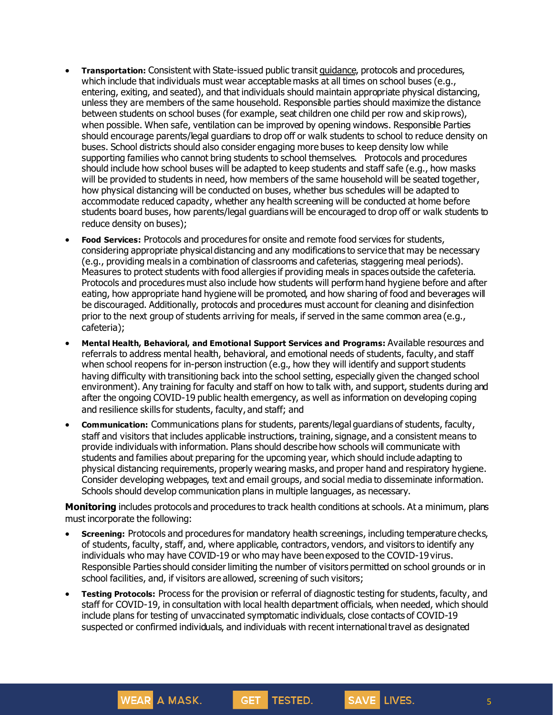- **Transportation:** Consistent with State-issued public transit [guidance](https://www.governor.ny.gov/sites/governor.ny.gov/files/atoms/files/PublicTransportationMasterGuidance.pdf), protocols and procedures, which include that individuals must wear acceptable masks at all times on school buses (e.g., entering, exiting, and seated), and that individuals should maintain appropriate physical distancing, unless they are members of the same household. Responsible parties should maximize the distance between students on school buses (for example, seat children one child per row and skip rows), when possible. When safe, ventilation can be improved by opening windows. Responsible Parties should encourage parents/legal guardians to drop off or walk students to school to reduce density on buses. School districts should also consider engaging more buses to keep density low while supporting families who cannot bring students to school themselves. Protocols and procedures should include how school buses will be adapted to keep students and staff safe (e.g., how masks will be provided to students in need, how members of the same household will be seated together, how physical distancing will be conducted on buses, whether bus schedules will be adapted to accommodate reduced capacity, whether any health screening will be conducted at home before students board buses, how parents/legal guardians will be encouraged to drop off or walk students to reduce density on buses);
- **Food Services:** Protocols and procedures for onsite and remote food services for students, considering appropriate physical distancing and any modifications to service that may be necessary (e.g., providing meals in a combination of classrooms and cafeterias, staggering meal periods). Measures to protect students with food allergies if providing meals in spaces outside the cafeteria. Protocols and procedures must also include how students will perform hand hygiene before and after eating, how appropriate hand hygiene will be promoted, and how sharing of food and beverages will be discouraged. Additionally, protocols and procedures must account for cleaning and disinfection prior to the next group of students arriving for meals, if served in the same common area (e.g., cafeteria);
- **Mental Health, Behavioral, and Emotional Support Services and Programs:** Available resources and referrals to address mental health, behavioral, and emotional needs of students, faculty, and staff when school reopens for in-person instruction (e.g., how they will identify and support students having difficulty with transitioning back into the school setting, especially given the changed school environment). Any training for faculty and staff on how to talk with, and support, students during and after the ongoing COVID-19 public health emergency, as well as information on developing coping and resilience skills for students, faculty, and staff; and
- **Communication:** Communications plans for students, parents/legal guardians of students, faculty, staff and visitors that includes applicable instructions, training, signage, and a consistent means to provide individuals with information. Plans should describe how schools will communicate with students and families about preparing for the upcoming year, which should include adapting to physical distancing requirements, properly wearing masks, and proper hand and respiratory hygiene. Consider developing webpages, text and email groups, and social media to disseminate information. Schools should develop communication plans in multiple languages, as necessary.

**Monitoring** includes protocols and procedures to track health conditions at schools. At a minimum, plans must incorporate the following:

- **Screening:** Protocols and procedures for mandatory health screenings, including temperature checks, of students, faculty, staff, and, where applicable, contractors, vendors, and visitors to identify any individuals who may have COVID-19 or who may have beenexposed to the COVID-19 virus. Responsible Parties should consider limiting the number of visitors permitted on school grounds or in school facilities, and, if visitors are allowed, screening of such visitors;
- **Testing Protocols:** Process for the provision or referral of diagnostic testing for students, faculty, and staff for COVID-19, in consultation with local health department officials, when needed, which should include plans for testing of unvaccinated symptomatic individuals, close contacts of COVID-19 suspected or confirmed individuals, and individuals with recent internationaltravel as designated

**TESTED.** 

**GET** 

**WEAR** A MASK.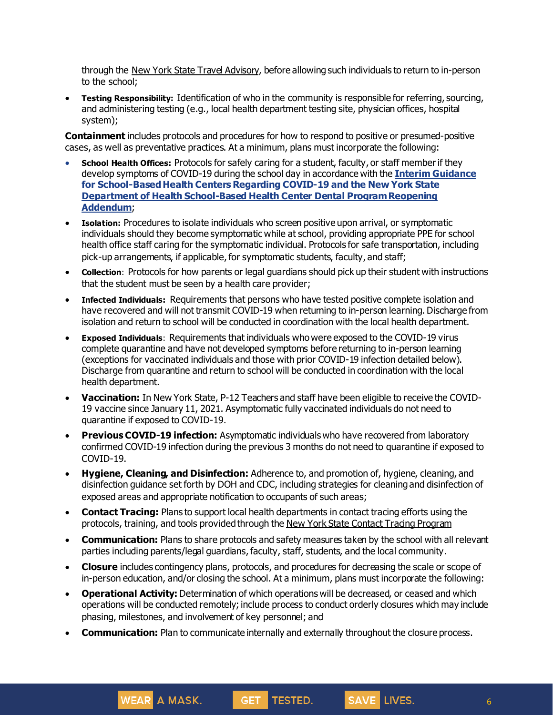through the New York State Travel [Advisory](https://coronavirus.health.ny.gov/covid-19-travel-advisory), before allowing such individuals to return to in-person to the school;

• **Testing Responsibility:** Identification of who in the community is responsible for referring, sourcing, and administering testing (e.g., local health department testing site, physician offices, hospital system);

**Containment** includes protocols and procedures for how to respond to positive or presumed-positive cases, as well as preventative practices. At a minimum, plans must incorporate the following:

- **School Health Offices:** Protocols for safely caring for a student, faculty, or staff member if they develop symptoms of COVID-19 during the school day in accordance with the **Interim [Guidance](https://coronavirus.health.ny.gov/system/files/documents/2021/03/covid19_guidance_for_sbhc_medical_and_dental_030921_1952.pdf) for [School-BasedHealth](https://coronavirus.health.ny.gov/system/files/documents/2021/03/covid19_guidance_for_sbhc_medical_and_dental_030921_1952.pdf) Centers Regarding COVID-19 and the New York [State](https://coronavirus.health.ny.gov/system/files/documents/2021/03/nysdoh_sbhc_dental_program_reopening_addendum_030921.pdf) Department of Health School-Based Health Center Dental [ProgramReopening](https://coronavirus.health.ny.gov/system/files/documents/2021/03/nysdoh_sbhc_dental_program_reopening_addendum_030921.pdf) [Addendum](https://coronavirus.health.ny.gov/system/files/documents/2021/03/nysdoh_sbhc_dental_program_reopening_addendum_030921.pdf)**;
- **Isolation:** Procedures to isolate individuals who screen positive upon arrival, or symptomatic individuals should they become symptomatic while at school, providing appropriate PPE for school health office staff caring for the symptomatic individual. Protocols for safe transportation, including pick-up arrangements, if applicable, for symptomatic students, faculty, and staff;
- **Collection**: Protocols for how parents or legal guardians should pick up their student with instructions that the student must be seen by a health care provider;
- **Infected Individuals:** Requirements that persons who have tested positive complete isolation and have recovered and will not transmit COVID-19 when returning to in-person learning. Discharge from isolation and return to school will be conducted in coordination with the local health department.
- **Exposed Individuals**: Requirements that individuals who were exposed to the COVID-19 virus complete quarantine and have not developed symptoms before returning to in-person learning (exceptions for vaccinated individuals and those with prior COVID-19 infection detailed below). Discharge from quarantine and return to school will be conducted in coordination with the local health department.
- **Vaccination:** In New York State, P-12 Teachers and staff have been eligible to receive the COVID-19 vaccine since January 11, 2021. Asymptomatic fully vaccinated individuals do not need to quarantine if exposed to COVID-19.
- **Previous COVID-19 infection:** Asymptomatic individuals who have recovered from laboratory confirmed COVID-19 infection during the previous 3 months do not need to quarantine if exposed to COVID-19.
- **Hygiene, Cleaning, and Disinfection:** Adherence to, and promotion of, hygiene, cleaning, and disinfection guidance set forth by DOH and CDC, including strategies for cleaning and disinfection of exposed areas and appropriate notification to occupants of such areas;
- **Contact Tracing:** Plans to support local health departments in contact tracing efforts using the protocols, training, and tools provided through the New York State Contact Tracing [Program](https://coronavirus.health.ny.gov/new-york-state-contact-tracing)
- **Communication:** Plans to share protocols and safety measures taken by the school with all relevant parties including parents/legal guardians, faculty, staff, students, and the local community.
- **Closure** includes contingency plans, protocols, and procedures for decreasing the scale or scope of in-person education, and/or closing the school. At a minimum, plans must incorporate the following:
- **Operational Activity:** Determination of which operations will be decreased, or ceased and which operations will be conducted remotely; include process to conduct orderly closures which may include phasing, milestones, and involvement of key personnel; and

TESTED.

• **Communication:** Plan to communicate internally and externally throughout the closure process.

**GET** 

WEAR A MASK.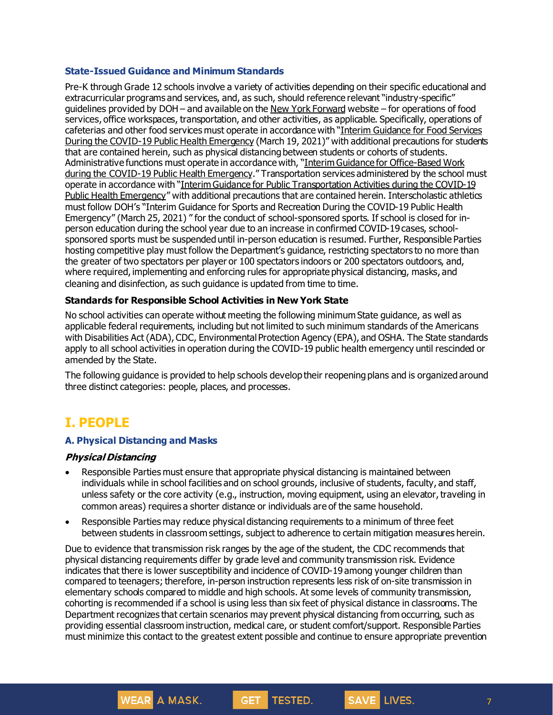#### **State-Issued Guidance and Minimum Standards**

Pre-K through Grade 12 schools involve a variety of activities depending on their specific educational and extracurricular programs and services, and, as such, should reference relevant "industry-specific" guidelines provided by DOH – and available on the New York [Forward](https://forward.ny.gov/) website – for operations of food services, office workspaces, transportation, and other activities, as applicable. Specifically, operations of cafeterias and other food services must operate in accordance with "Interim [Guidance](https://www.governor.ny.gov/sites/governor.ny.gov/files/atoms/files/Indoor_and_Outdoor_Food_Services_Detailed_Guidelines.pdf) for Food Services During the COVID-19 Public Health [Emergency](https://www.governor.ny.gov/sites/governor.ny.gov/files/atoms/files/Indoor_and_Outdoor_Food_Services_Detailed_Guidelines.pdf) (March 19, 2021)" with additional precautions for students that are contained herein, such as physical distancing between students or cohorts of students. Administrative functions must operate in accordance with, "Interim Guidance for [Office-Based](https://www.governor.ny.gov/sites/governor.ny.gov/files/atoms/files/offices-interim-guidance.pdf) Work during the COVID-19 Public Health [Emergency](https://www.governor.ny.gov/sites/governor.ny.gov/files/atoms/files/offices-interim-guidance.pdf)." Transportation services administered by the school must operate in accordance with "Interim Guidance for Public [Transportation](https://www.governor.ny.gov/sites/governor.ny.gov/files/atoms/files/PublicTransportationMasterGuidance.pdf) Activities during the COVID-19 Public Health [Emergency](https://www.governor.ny.gov/sites/governor.ny.gov/files/atoms/files/PublicTransportationMasterGuidance.pdf)" with additional precautions that are contained herein. Interscholastic athletics must follow DOH's "Interim Guidance for Sports and [Recreation](https://www.governor.ny.gov/sites/governor.ny.gov/files/atoms/files/SportsAndRecreationMasterGuidance.pdf) During the COVID-19 Public Health [Emergency"](https://www.governor.ny.gov/sites/governor.ny.gov/files/atoms/files/SportsAndRecreationMasterGuidance.pdf) (March 25, 2021) " for the conduct of school-sponsored sports. If school is closed for inperson education during the school year due to an increase in confirmed COVID-19 cases, schoolsponsored sports must be suspended until in-person education is resumed. Further, Responsible Parties hosting competitive play must follow the Department's guidance, restricting spectators to no more than the greater of two spectators per player or 100 spectators indoors or 200 spectators outdoors, and, where required, implementing and enforcing rules for appropriate physical distancing, masks, and cleaning and disinfection, as such guidance is updated from time to time.

#### **Standards for Responsible School Activities in New York State**

No school activities can operate without meeting the following minimum State guidance, as well as applicable federal requirements, including but not limited to such minimum standards of the Americans with Disabilities Act (ADA), CDC, Environmental Protection Agency (EPA), and OSHA. The State standards apply to all school activities in operation during the COVID-19 public health emergency until rescinded or amended by the State.

The following guidance is provided to help schools develop their reopening plans and is organized around three distinct categories: people, places, and processes.

# **I. PEOPLE**

#### **A. Physical Distancing and Masks**

**WEAR** A MASK.

#### **Physical Distancing**

- Responsible Parties must ensure that appropriate physical distancing is maintained between individuals while in school facilities and on school grounds, inclusive of students, faculty, and staff, unless safety or the core activity (e.g., instruction, moving equipment, using an elevator, traveling in common areas) requires a shorter distance or individuals are of the same household.
- Responsible Parties may reduce physical distancing requirements to a minimum of three feet between students in classroom settings, subject to adherence to certain mitigation measures herein.

Due to evidence that transmission risk ranges by the age of the student, the CDC recommends that physical distancing requirements differ by grade level and community transmission risk. Evidence indicates that there is lower susceptibility and incidence of COVID-19 among younger children than compared to teenagers; therefore, in-person instruction represents less risk of on-site transmission in elementary schools compared to middle and high schools. At some levels of community transmission, cohorting is recommended if a school is using less than six feet of physical distance in classrooms. The Department recognizes that certain scenarios may prevent physical distancing from occurring, such as providing essential classroom instruction, medical care, or student comfort/support. Responsible Parties must minimize this contact to the greatest extent possible and continue to ensure appropriate prevention

TESTED.

SAVE LIVES.

**GET**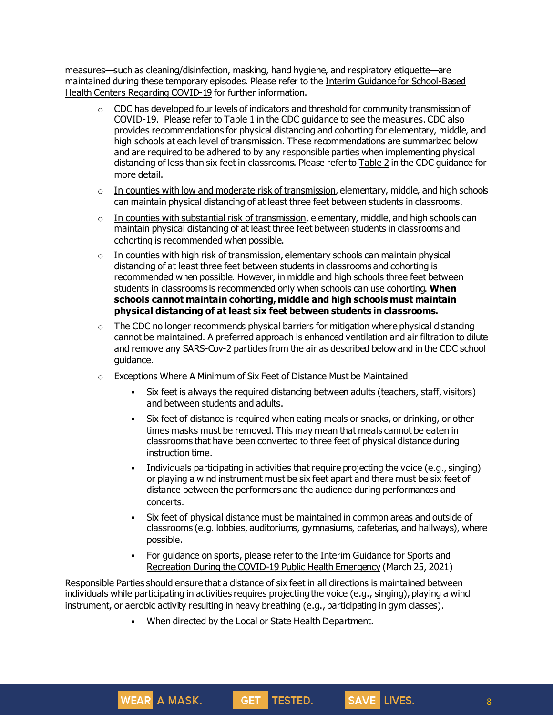measures—such as cleaning/disinfection, masking, hand hygiene, and respiratory etiquette—are maintained during these temporary episodes. Please refer to the Interim Guidance for School-Based Health Centers Regarding COVID-19 for further information.

- $\circ$  CDC has developed four levels of indicators and threshold for community transmission of COVID-19. Please refer to Table 1 in the CDC guidance to see the measures. CDC also provides recommendations for physical distancing and cohorting for elementary, middle, and high schools at each level of transmission. These recommendations are summarized below and are required to be adhered to by any responsible parties when implementing physical distancing of less than six feet in classrooms. Please refer to **[Table](https://www.cdc.gov/coronavirus/2019-ncov/community/schools-childcare/operation-strategy.html) 2** in the CDC guidance for more detail.
- $\circ$  In counties with low and moderate risk of transmission, elementary, middle, and high schools can maintain physical distancing of at least three feet between students in classrooms.
- $\circ$  In counties with substantial risk of transmission, elementary, middle, and high schools can maintain physical distancing of at least three feet between students in classrooms and cohorting is recommended when possible.
- o In counties with high risk of transmission, elementary schools can maintain physical distancing of at least three feet between students in classrooms and cohorting is recommended when possible. However, in middle and high schools three feet between students in classrooms is recommended only when schools can use cohorting. **When schools cannot maintain cohorting, middle and high schools must maintain physical distancing of at least six feet between students in classrooms.**
- $\circ$  The CDC no longer recommends physical barriers for mitigation where physical distancing cannot be maintained. A preferred approach is enhanced ventilation and air filtration to dilute and remove any SARS-Cov-2 particles from the air as described below and in the CDC school guidance.
- o Exceptions Where A Minimum of Six Feet of Distance Must be Maintained
	- Six feet is always the required distancing between adults (teachers, staff, visitors) and between students and adults.
	- Six feet of distance is required when eating meals or snacks, or drinking, or other times masks must be removed. This may mean that meals cannot be eaten in classrooms that have been converted to three feet of physical distance during instruction time.
	- Individuals participating in activities that require projecting the voice (e.g., singing) or playing a wind instrument must be six feet apart and there must be six feet of distance between the performers and the audience during performances and concerts.
	- Six feet of physical distance must be maintained in common areas and outside of classrooms (e.g. lobbies, auditoriums, gymnasiums, cafeterias, and hallways), where possible.

SAVE LIVES.

▪ For guidance on sports, please refer to the Interim Guidance for Sports and Recreation During the COVID-19 Public Health Emergency (March 25, 2021)

Responsible Parties should ensure that a distance of six feet in all directions is maintained between individuals while participating in activities requires projecting the voice (e.g., singing), playing a wind instrument, or aerobic activity resulting in heavy breathing (e.g., participating in gym classes).

GET TESTED.

▪ When directed by the Local or State Health Department.

WEAR A MASK.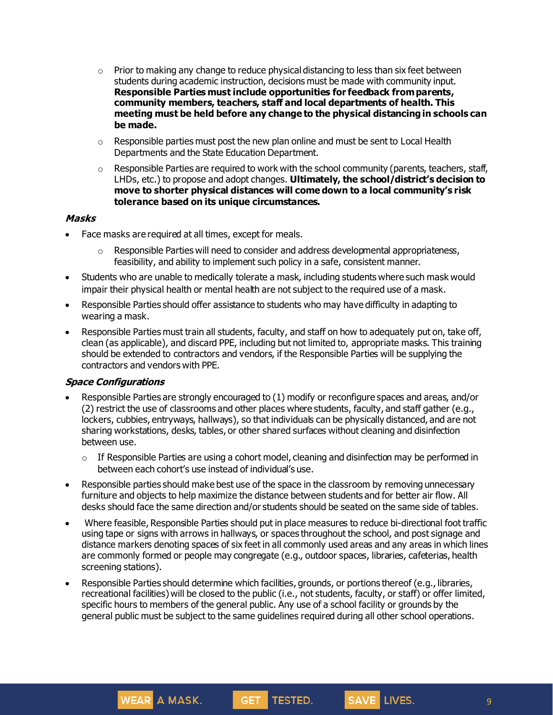- $\circ$  Prior to making any change to reduce physical distancing to less than six feet between students during academic instruction, decisions must be made with community input. **Responsible Parties must include opportunities for feedback fromparents, community members, teachers, staff and local departments of health. This meeting must be held before any change to the physical distancingin schools can be made.**
- $\circ$  Responsible parties must post the new plan online and must be sent to Local Health Departments and the State Education Department.
- $\circ$  Responsible Parties are required to work with the school community (parents, teachers, staff, LHDs, etc.) to propose and adopt changes. **Ultimately, the school/district's decision to move to shorter physical distances will come down to a local community's risk tolerance based on its unique circumstances.**

#### **Masks**

- Face masks are required at all times, except for meals.
	- $\circ$  Responsible Parties will need to consider and address developmental appropriateness, feasibility, and ability to implement such policy in a safe, consistent manner.
- Students who are unable to medically tolerate a mask, including students where such mask would impair their physical health or mental health are not subject to the required use of a mask.
- Responsible Parties should offer assistance to students who may have difficulty in adapting to wearing a mask.
- Responsible Parties must train all students, faculty, and staff on how to adequately put on, take off, clean (as applicable), and discard PPE, including but not limited to, appropriate masks. This training should be extended to contractors and vendors, if the Responsible Parties will be supplying the contractors and vendors with PPE.

#### **Space Configurations**

- Responsible Parties are strongly encouraged to (1) modify or reconfigure spaces and areas, and/or (2) restrict the use of classrooms and other places where students, faculty, and staff gather (e.g., lockers, cubbies, entryways, hallways), so that individuals can be physically distanced, and are not sharing workstations, desks, tables, or other shared surfaces without cleaning and disinfection between use.
	- o If Responsible Parties are using a cohort model, cleaning and disinfection may be performed in between each cohort's use instead of individual's use.
- Responsible parties should make best use of the space in the classroom by removing unnecessary furniture and objects to help maximize the distance between students and for better air flow. All desks should face the same direction and/or students should be seated on the same side of tables.
- Where feasible, Responsible Parties should put in place measures to reduce bi-directional foot traffic using tape or signs with arrows in hallways, or spaces throughout the school, and post signage and distance markers denoting spaces of six feet in all commonly used areas and any areas in which lines are commonly formed or people may congregate (e.g., outdoor spaces, libraries, cafeterias, health screening stations).
- Responsible Parties should determine which facilities, grounds, or portions thereof (e.g., libraries, recreational facilities) will be closed to the public (i.e., not students, faculty, or staff) or offer limited, specific hours to members of the general public. Any use of a school facility or grounds by the general public must be subject to the same guidelines required during all other school operations.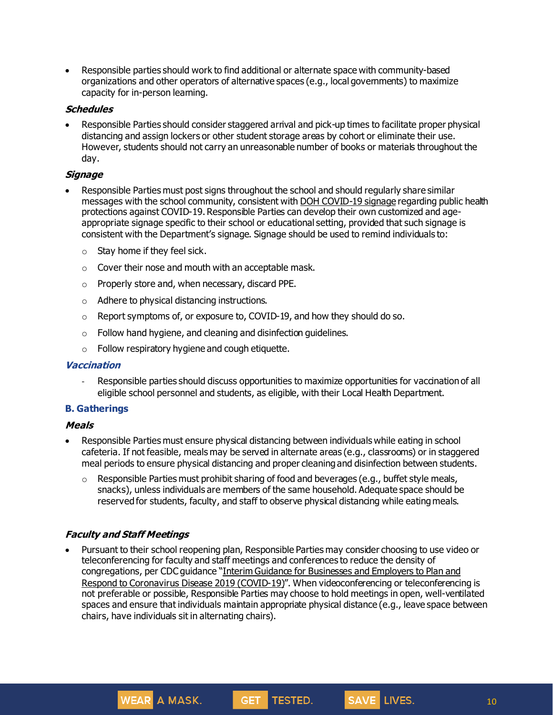• Responsible parties should work to find additional or alternate space with community-based organizations and other operators of alternative spaces (e.g., local governments) to maximize capacity for in-person learning.

#### **Schedules**

• Responsible Parties should consider staggered arrival and pick-up times to facilitate proper physical distancing and assign lockers or other student storage areas by cohort or eliminate their use. However, students should not carry an unreasonable number of books or materials throughout the day.

#### **Signage**

- Responsible Parties must post signs throughout the school and should regularly share similar messages with the school community, consistent with DOH [COVID-19](https://coronavirus.health.ny.gov/system/files/documents/2020/04/13067_coronavirus_protectyourself_poster_042020.pdf) signage regarding public health protections against COVID-19. Responsible Parties can develop their own customized and ageappropriate signage specific to their school or educational setting, provided that such signage is consistent with the Department's signage. Signage should be used to remind individuals to:
	- $\circ$  Stay home if they feel sick.
	- o Cover their nose and mouth with an acceptable mask.
	- o Properly store and, when necessary, discard PPE.
	- o Adhere to physical distancing instructions.
	- o Report symptoms of, or exposure to, COVID-19, and how they should do so.
	- o Follow hand hygiene, and cleaning and disinfection guidelines.
	- o Follow respiratory hygiene and cough etiquette.

#### **Vaccination**

Responsible parties should discuss opportunities to maximize opportunities for vaccination of all eligible school personnel and students, as eligible, with their Local Health Department.

## **B. Gatherings**

#### **Meals**

- Responsible Parties must ensure physical distancing between individuals while eating in school cafeteria. If not feasible, meals may be served in alternate areas (e.g., classrooms) or in staggered meal periods to ensure physical distancing and proper cleaning and disinfection between students.
	- $\circ$  Responsible Parties must prohibit sharing of food and beverages (e.g., buffet style meals, snacks), unless individuals are members of the same household. Adequate space should be reserved for students, faculty, and staff to observe physical distanding while eating meals.

#### **Faculty and Staff Meetings**

**WEAR A MASK.** 

• Pursuant to their school reopening plan, Responsible Parties may consider choosing to use video or teleconferencing for faculty and staff meetings and conferences to reduce the density of congregations, per CDC guidance "Interim Guidance for [Businesses](https://www.cdc.gov/coronavirus/2019-ncov/community/guidance-business-response.html) and Employers to Plan and Respond to [Coronavirus](https://www.cdc.gov/coronavirus/2019-ncov/community/guidance-business-response.html) Disease 2019 (COVID-19)". When videoconferencing or teleconferencing is not preferable or possible, Responsible Parties may choose to hold meetings in open, well-ventilated spaces and ensure that individuals maintain appropriate physical distance (e.g., leave space between chairs, have individuals sit in alternating chairs).

GET TESTED.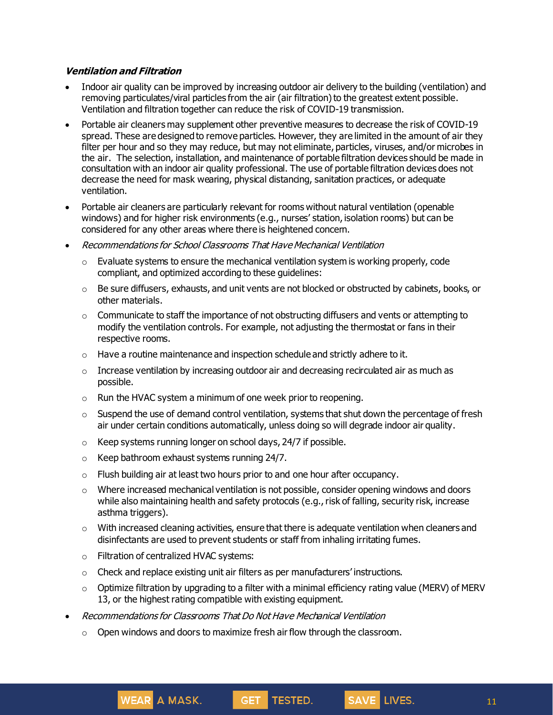#### **Ventilation and Filtration**

- Indoor air quality can be improved by increasing outdoor air delivery to the building (ventilation) and removing particulates/viral particles from the air (air filtration) to the greatest extent possible. Ventilation and filtration together can reduce the risk of COVID-19 transmission.
- Portable air cleaners may supplement other preventive measures to decrease the risk of COVID-19 spread. These are designed to remove particles. However, they are limited in the amount of air they filter per hour and so they may reduce, but may not eliminate, particles, viruses, and/or microbes in the air. The selection, installation, and maintenance of portable filtration devices should be made in consultation with an indoor air quality professional. The use of portable filtration devices does not decrease the need for mask wearing, physical distancing, sanitation practices, or adequate ventilation.
- Portable air cleaners are particularly relevant for rooms without natural ventilation (openable windows) and for higher risk environments (e.g., nurses' station, isolation rooms) but can be considered for any other areas where there is heightened concern.
- Recommendations for School Classrooms That Have Mechanical Ventilation
	- $\circ$  Evaluate systems to ensure the mechanical ventilation system is working properly, code compliant, and optimized according to these guidelines:
	- $\circ$  Be sure diffusers, exhausts, and unit vents are not blocked or obstructed by cabinets, books, or other materials.
	- $\circ$  Communicate to staff the importance of not obstructing diffusers and vents or attempting to modify the ventilation controls. For example, not adjusting the thermostat or fans in their respective rooms.
	- $\circ$  Have a routine maintenance and inspection schedule and strictly adhere to it.
	- $\circ$  Increase ventilation by increasing outdoor air and decreasing recirculated air as much as possible.
	- $\circ$  Run the HVAC system a minimum of one week prior to reopening.
	- $\circ$  Suspend the use of demand control ventilation, systems that shut down the percentage of fresh air under certain conditions automatically, unless doing so will degrade indoor air quality.
	- o Keep systems running longer on school days, 24/7 if possible.
	- $\circ$  Keep bathroom exhaust systems running 24/7.
	- $\circ$  Flush building air at least two hours prior to and one hour after occupancy.
	- $\circ$  Where increased mechanical ventilation is not possible, consider opening windows and doors while also maintaining health and safety protocols (e.g., risk of falling, security risk, increase asthma triggers).
	- $\circ$  With increased cleaning activities, ensure that there is adequate ventilation when cleaners and disinfectants are used to prevent students or staff from inhaling irritating fumes.
	- o Filtration of centralized HVAC systems:

WEAR A MASK.

- $\circ$  Check and replace existing unit air filters as per manufacturers' instructions.
- $\circ$  Optimize filtration by upgrading to a filter with a minimal efficiency rating value (MERV) of MERV 13, or the highest rating compatible with existing equipment.

GET TESTED.

- Recommendations for Classrooms That Do Not Have Mechanical Ventilation
	- $\circ$  Open windows and doors to maximize fresh air flow through the classroom.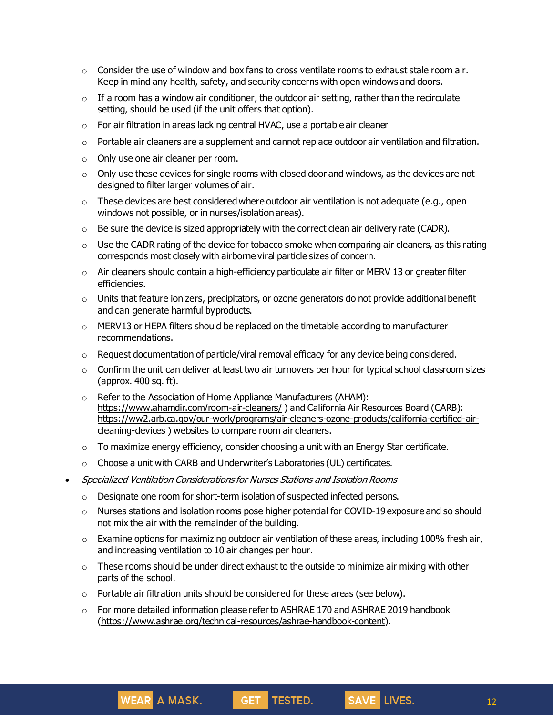- $\circ$  Consider the use of window and box fans to cross ventilate rooms to exhaust stale room air. Keep in mind any health, safety, and security concerns with open windows and doors.
- $\circ$  If a room has a window air conditioner, the outdoor air setting, rather than the recirculate setting, should be used (if the unit offers that option).
- o For air filtration in areas lacking central HVAC, use a portable air cleaner
- $\circ$  Portable air cleaners are a supplement and cannot replace outdoor air ventilation and filtration.
- o Only use one air cleaner per room.
- $\circ$  Only use these devices for single rooms with closed door and windows, as the devices are not designed to filter larger volumes of air.
- $\circ$  These devices are best considered where outdoor air ventilation is not adequate (e.g., open windows not possible, or in nurses/isolation areas).
- $\circ$  Be sure the device is sized appropriately with the correct clean air delivery rate (CADR).
- $\circ$  Use the CADR rating of the device for tobacco smoke when comparing air cleaners, as this rating corresponds most closely with airborne viral particle sizes of concern.
- $\circ$  Air cleaners should contain a high-efficiency particulate air filter or MERV 13 or greater filter efficiencies.
- $\circ$  Units that feature ionizers, precipitators, or ozone generators do not provide additional benefit and can generate harmful byproducts.
- $\circ$  MERV13 or HEPA filters should be replaced on the timetable according to manufacturer recommendations.
- $\circ$  Request documentation of particle/viral removal efficacy for any device being considered.
- $\circ$  Confirm the unit can deliver at least two air turnovers per hour for typical school classroom sizes (approx. 400 sq. ft).
- $\circ$  Refer to the Association of Home Appliance Manufacturers (AHAM): <https://www.ahamdir.com/room-air-cleaners/>) and California Air Resources Board (CARB): [https://ww2.arb.ca.gov/our-work/programs/air-cleaners-ozone-products/california-certified-air](https://ww2.arb.ca.gov/our-work/programs/air-cleaners-ozone-products/california-certified-air-cleaning-devices)[cleaning-devices](https://ww2.arb.ca.gov/our-work/programs/air-cleaners-ozone-products/california-certified-air-cleaning-devices) ) websites to compare room air cleaners.
- $\circ$  To maximize energy efficiency, consider choosing a unit with an Energy Star certificate.
- o Choose a unit with CARB and Underwriter's Laboratories (UL) certificates.
- Specialized Ventilation Considerations for Nurses Stations and Isolation Rooms
	- o Designate one room for short-term isolation of suspected infected persons.
	- o Nurses stations and isolation rooms pose higher potential for COVID-19 exposure and so should not mix the air with the remainder of the building.
	- $\circ$  Examine options for maximizing outdoor air ventilation of these areas, including 100% fresh air, and increasing ventilation to 10 air changes per hour.
	- o These rooms should be under direct exhaust to the outside to minimize air mixing with other parts of the school.
	- $\circ$  Portable air filtration units should be considered for these areas (see below).
	- $\circ$  For more detailed information please refer to ASHRAE 170 and ASHRAE 2019 handbook [\(https://www.ashrae.org/technical-resources/ashrae-handbook-content](https://www.ashrae.org/technical-resources/ashrae-handbook-content)).

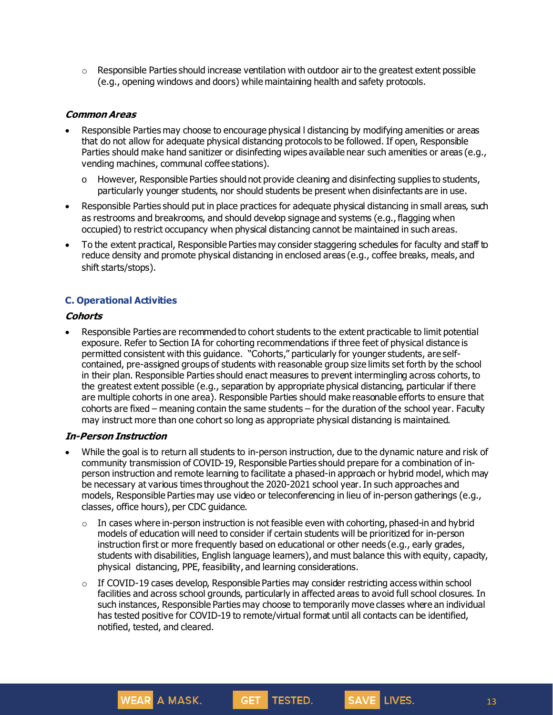$\circ$  Responsible Parties should increase ventilation with outdoor air to the greatest extent possible (e.g., opening windows and doors) while maintaining health and safety protocols.

#### **Common Areas**

- Responsible Parties may choose to encourage physical l distancing by modifying amenities or areas that do not allow for adequate physical distancing protocols to be followed. If open, Responsible Parties should make hand sanitizer or disinfecting wipes available near such amenities or areas (e.g., vending machines, communal coffee stations).
	- o However, Responsible Parties should not provide cleaning and disinfecting supplies to students, particularly younger students, nor should students be present when disinfectants are in use.
- Responsible Parties should put in place practices for adequate physical distancing in small areas, such as restrooms and breakrooms, and should develop signage and systems (e.g., flagging when occupied) to restrict occupancy when physical distancing cannot be maintained in such areas.
- To the extent practical, Responsible Parties may consider staggering schedules for faculty and staff to reduce density and promote physical distancing in enclosed areas (e.g., coffee breaks, meals, and shift starts/stops).

## **C. Operational Activities**

## **Cohorts**

• Responsible Parties are recommended to cohort students to the extent practicable to limit potential exposure. Refer to Section IA for cohorting recommendations if three feet of physical distance is permitted consistent with this guidance. "Cohorts," particularly for younger students, are selfcontained, pre-assigned groups of students with reasonable group size limits set forth by the school in their plan. Responsible Parties should enact measures to prevent intermingling across cohorts, to the greatest extent possible (e.g., separation by appropriate physical distancing, particular if there are multiple cohorts in one area). Responsible Parties should make reasonable efforts to ensure that cohorts are fixed – meaning contain the same students – for the duration of the school year. Faculty may instruct more than one cohort so long as appropriate physical distancing is maintained.

#### **In-Person Instruction**

**WEAR** A MASK.

- While the goal is to return all students to in-person instruction, due to the dynamic nature and risk of community transmission of COVID-19, Responsible Parties should prepare for a combination of inperson instruction and remote learning to facilitate a phased-in approach or hybrid model, which may be necessary at various times throughout the 2020-2021 school year.In such approaches and models, Responsible Parties may use video or teleconferencing in lieu of in-person gatherings (e.g., classes, office hours), per CDC guidance.
	- $\circ$  In cases where in-person instruction is not feasible even with cohorting, phased-in and hybrid models of education will need to consider if certain students will be prioritized for in-person instruction first or more frequently based on educational or other needs (e.g., early grades, students with disabilities, English language learners), and must balance this with equity, capacity, physical distancing, PPE, feasibility, and learning considerations.
	- $\circ$  If COVID-19 cases develop, Responsible Parties may consider restricting access within school facilities and across school grounds, particularly in affected areas to avoid full school closures. In such instances, Responsible Parties may choose to temporarily move classes where an individual has tested positive for COVID-19 to remote/virtual format until all contacts can be identified, notified, tested, and cleared.

**GET TESTED.**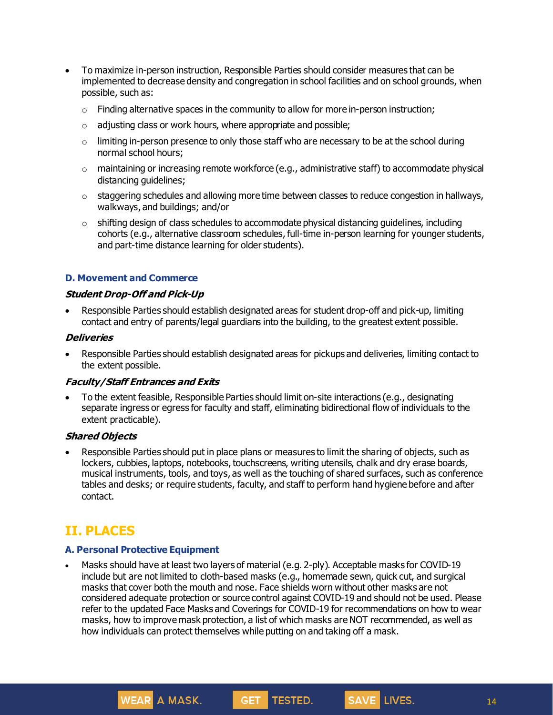- To maximize in-person instruction, Responsible Parties should consider measures that can be implemented to decrease density and congregation in school facilities and on school grounds, when possible, such as:
	- $\circ$  Finding alternative spaces in the community to allow for more in-person instruction;
	- $\circ$  adjusting class or work hours, where appropriate and possible;
	- $\circ$  limiting in-person presence to only those staff who are necessary to be at the school during normal school hours;
	- $\circ$  maintaining or increasing remote workforce (e.g., administrative staff) to accommodate physical distancing quidelines:
	- $\circ$  staggering schedules and allowing more time between classes to reduce congestion in hallways, walkways, and buildings; and/or
	- $\circ$  shifting design of class schedules to accommodate physical distancing guidelines, including cohorts (e.g., alternative classroom schedules, full-time in-person learning for younger students, and part-time distance learning for older students).

#### **D. Movement and Commerce**

#### **Student Drop-Off and Pick-Up**

• Responsible Parties should establish designated areas for student drop-off and pick-up, limiting contact and entry of parents/legal guardians into the building, to the greatest extent possible.

#### **Deliveries**

• Responsible Parties should establish designated areas for pickups and deliveries, limiting contact to the extent possible.

#### **Faculty/Staff Entrances and Exits**

• To the extent feasible, Responsible Parties should limit on-site interactions (e.g., designating separate ingress or egress for faculty and staff, eliminating bidirectional flow of individuals to the extent practicable).

#### **Shared Objects**

• Responsible Parties should put in place plans or measures to limit the sharing of objects, such as lockers, cubbies, laptops, notebooks, touchscreens, writing utensils, chalk and dry erase boards, musical instruments, tools, and toys, as well as the touching of shared surfaces, such as conference tables and desks; or require students, faculty, and staff to perform hand hygiene before and after contact.

# **II. PLACES**

#### **A. Personal Protective Equipment**

WEAR A MASK.

• Masks should have at least two layers of material (e.g. 2-ply). Acceptable masks for COVID-19 include but are not limited to cloth-based masks (e.g., homemade sewn, quick cut, and surgical masks that cover both the mouth and nose. Face shields worn without other masks are not considered adequate protection or source control against COVID-19 and should not be used. Please refer to the updated Face Masks and Coverings for COVID-19 for recommendations on how to wear masks, how to improve mask protection, a list of which masks are NOT recommended, as well as how individuals can protect themselves while putting on and taking off a mask.

GET TESTED.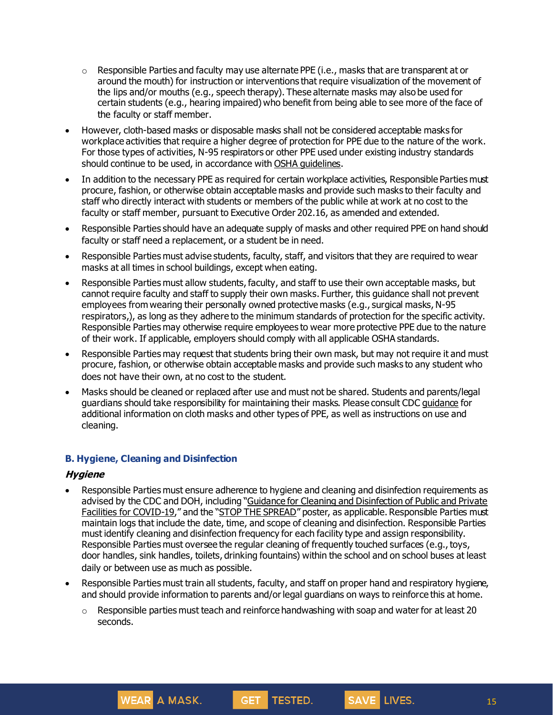- $\circ$  Responsible Parties and faculty may use alternate PPE (i.e., masks that are transparent at or around the mouth) for instruction or interventions that require visualization of the movement of the lips and/or mouths (e.g., speech therapy). These alternate masks may also be used for certain students (e.g., hearing impaired) who benefit from being able to see more of the face of the faculty or staff member.
- However, cloth-based masks or disposable masks shall not be considered acceptable masks for workplace activities that require a higher degree of protection for PPE due to the nature of the work. For those types of activities, N-95 respirators or other PPE used under existing industry standards should continue to be used, in accordance with OSHA [guidelines](https://www.osha.gov/SLTC/personalprotectiveequipment/).
- In addition to the necessary PPE as required for certain workplace activities, Responsible Parties must procure, fashion, or otherwise obtain acceptable masks and provide such masks to their faculty and staff who directly interact with students or members of the public while at work at no cost to the faculty or staff member, pursuant to Executive Order 202.16, as amended and extended.
- Responsible Parties should have an adequate supply of masks and other required PPE on hand should faculty or staff need a replacement, or a student be in need.
- Responsible Parties must advise students, faculty, staff, and visitors that they are required to wear masks at all times in school buildings, except when eating.
- Responsible Parties must allow students, faculty, and staff to use their own acceptable masks, but cannot require faculty and staff to supply their own masks. Further, this guidance shall not prevent employees from wearing their personally owned protective masks (e.g., surgical masks, N-95 respirators,), as long as they adhere to the minimum standards of protection for the specific activity. Responsible Parties may otherwise require employees to wear more protective PPE due to the nature of their work. If applicable, employers should comply with all applicable OSHA standards.
- Responsible Parties may request that students bring their own mask, but may not require it and must procure, fashion, or otherwise obtain acceptable masks and provide such masks to any student who does not have their own, at no cost to the student.
- Masks should be cleaned or replaced after use and must not be shared. Students and parents/legal guardians should take responsibility for maintaining their masks. Please consult CDC [guidance](https://www.cdc.gov/coronavirus/2019-ncov/prevent-getting-sick/diy-cloth-face-coverings.html) for additional information on cloth masks and other types of PPE, as well as instructions on use and cleaning.

## **B. Hygiene, Cleaning and Disinfection**

**WEAR A MASK.** 

#### **Hygiene**

- Responsible Parties must ensure adherence to hygiene and cleaning and disinfection requirements as advised by the CDC and DOH, including "Guidance for Cleaning and [Disinfection](https://coronavirus.health.ny.gov/system/files/documents/2020/03/cleaning_guidance_general_building.pdf) of Public and Private Facilities for [COVID-19](https://coronavirus.health.ny.gov/system/files/documents/2020/03/cleaning_guidance_general_building.pdf)," and the "STOP THE [SPREAD](https://coronavirus.health.ny.gov/system/files/documents/2020/04/13067_coronavirus_protectyourself_poster_042020.pdf)" poster, as applicable. Responsible Parties must maintain logs that include the date, time, and scope of cleaning and disinfection. Responsible Parties must identify cleaning and disinfection frequency for each facility type and assign responsibility. Responsible Parties must oversee the regular cleaning of frequently touched surfaces (e.g., toys, door handles, sink handles, toilets, drinking fountains) within the school and on school buses at least daily or between use as much as possible.
- Responsible Parties must train all students, faculty, and staff on proper hand and respiratory hygiene, and should provide information to parents and/orlegal guardians on ways to reinforce this at home.
	- o Responsible parties must teach and reinforce handwashing with soap and water for at least 20 seconds.

GET TESTED.

15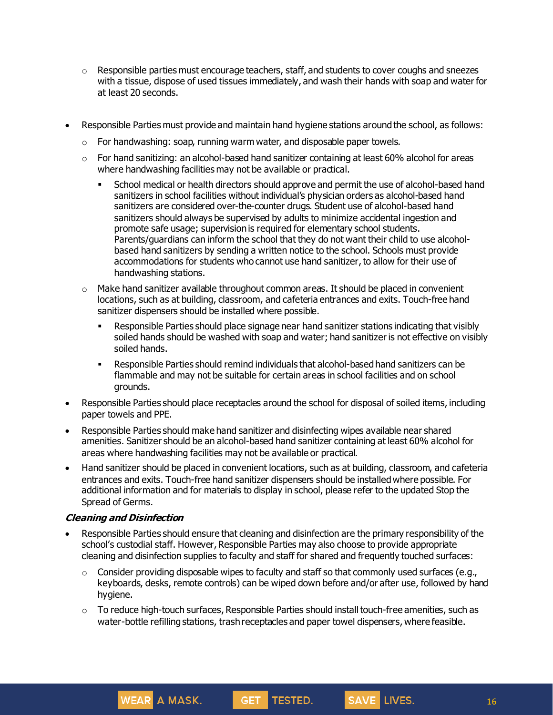- $\circ$  Responsible parties must encourage teachers, staff, and students to cover coughs and sneezes with a tissue, dispose of used tissues immediately, and wash their hands with soap and water for at least 20 seconds.
- Responsible Parties must provide and maintain hand hygiene stations around the school, as follows:
	- $\circ$  For handwashing: soap, running warm water, and disposable paper towels.
	- $\circ$  For hand sanitizing: an alcohol-based hand sanitizer containing at least 60% alcohol for areas where handwashing facilities may not be available or practical.
		- **•** School medical or health directors should approve and permit the use of alcohol-based hand sanitizers in school facilities without individual's physician orders as alcohol-based hand sanitizers are considered over-the-counter drugs. Student use of alcohol-based hand sanitizers should always be supervised by adults to minimize accidental ingestion and promote safe usage; supervision is required for elementary school students. Parents/guardians can inform the school that they do not want their child to use alcoholbased hand sanitizers by sending a written notice to the school. Schools must provide accommodations for students who cannot use hand sanitizer, to allow for their use of handwashing stations.
	- $\circ$  Make hand sanitizer available throughout common areas. It should be placed in convenient locations, such as at building, classroom, and cafeteria entrances and exits. Touch-free hand sanitizer dispensers should be installed where possible.
		- **EXECT** Responsible Parties should place signage near hand sanitizer stations indicating that visibly soiled hands should be washed with soap and water; hand sanitizer is not effective on visibly soiled hands.
		- Responsible Parties should remind individuals that alcohol-based hand sanitizers can be flammable and may not be suitable for certain areas in school facilities and on school grounds.
- Responsible Parties should place receptacles around the school for disposal of soiled items, including paper towels and PPE.
- Responsible Parties should make hand sanitizer and disinfecting wipes available near shared amenities. Sanitizer should be an alcohol-based hand sanitizer containing at least 60% alcohol for areas where handwashing facilities may not be available or practical.
- Hand sanitizer should be placed in convenient locations, such as at building, classroom, and cafeteria entrances and exits. Touch-free hand sanitizer dispensers should be installedwhere possible. For additional information and for materials to display in school, please refer to the updated Stop the Spread of Germs.

## **Cleaning and Disinfection**

WEAR A MASK.

- Responsible Parties should ensure that cleaning and disinfection are the primary responsibility of the school's custodial staff. However, Responsible Parties may also choose to provide appropriate cleaning and disinfection supplies to faculty and staff for shared and frequently touched surfaces:
	- $\circ$  Consider providing disposable wipes to faculty and staff so that commonly used surfaces (e.g., keyboards, desks, remote controls) can be wiped down before and/or after use, followed by hand hygiene.
	- $\circ$  To reduce high-touch surfaces, Responsible Parties should install touch-free amenities, such as water-bottle refilling stations, trashreceptacles and paper towel dispensers, where feasible.

GET TESTED.

16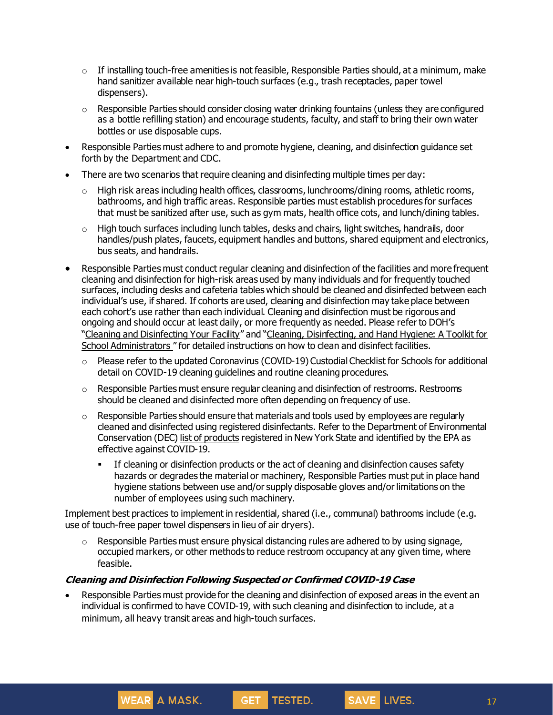- $\circ$  If installing touch-free amenities is not feasible, Responsible Parties should, at a minimum, make hand sanitizer available near high-touch surfaces (e.g., trash receptacles, paper towel dispensers).
- $\circ$  Responsible Parties should consider closing water drinking fountains (unless they are configured as a bottle refilling station) and encourage students, faculty, and staff to bring their own water bottles or use disposable cups.
- Responsible Parties must adhere to and promote hygiene, cleaning, and disinfection guidance set forth by the Department and CDC.
- There are two scenarios that require cleaning and disinfecting multiple times per day:
	- $\circ$  High risk areas including health offices, classrooms, lunchrooms/dining rooms, athletic rooms, bathrooms, and high traffic areas. Responsible parties must establish procedures for surfaces that must be sanitized after use, such as gym mats, health office cots, and lunch/dining tables.
	- o High touch surfaces including lunch tables, desks and chairs, light switches, handrails, door handles/push plates, faucets, equipment handles and buttons, shared equipment and electronics, bus seats, and handrails.
- Responsible Parties must conduct regular cleaning and disinfection of the facilities and more frequent cleaning and disinfection for high-risk areas used by many individuals and for frequently touched surfaces, including desks and cafeteria tables which should be cleaned and disinfected between each individual's use, if shared. If cohorts are used, cleaning and disinfection may take place between each cohort's use rather than each individual. Cleaning and disinfection must be rigorous and ongoing and should occur at least daily, or more frequently as needed. Please refer to DOH's "Cleaning and [Disinfecting](https://www.cdc.gov/coronavirus/2019-ncov/community/disinfecting-building-facility.html?CDC_AA_refVal=https%3A%2F%2Fwww.cdc.gov%2Fcoronavirus%2F2019-ncov%2Fcommunity%2Freopen-guidance.html) Your Facility" and "Cleaning, [Disinfecting,](https://www.cdc.gov/coronavirus/2019-ncov/community/schools-childcare/clean-disinfect-hygiene.html) and Hand Hygiene: A Toolkit for School [Administrators](https://www.cdc.gov/coronavirus/2019-ncov/community/schools-childcare/clean-disinfect-hygiene.html) " for detailed instructions on how to clean and disinfect facilities.
	- o Please refer to the updated Coronavirus (COVID-19) Custodial Checklist for Schools for additional detail on COVID-19 cleaning guidelines and routine cleaning procedures.
	- $\circ$  Responsible Parties must ensure regular cleaning and disinfection of restrooms. Restrooms should be cleaned and disinfected more often depending on frequency of use.
	- $\circ$  Responsible Parties should ensure that materials and tools used by employees are regularly cleaned and disinfected using registered disinfectants. Refer to the Department of Environmental Conservation (DEC) list of [products](http://www.dec.ny.gov/docs/materials_minerals_pdf/covid19.pdf) registered in New York State and identified by the EPA as effective against COVID-19.
		- **•** If cleaning or disinfection products or the act of cleaning and disinfection causes safety hazards or degrades the material or machinery, Responsible Parties must put in place hand hygiene stations between use and/or supply disposable gloves and/or limitations on the number of employees using such machinery.

Implement best practices to implement in residential, shared (i.e., communal) bathrooms include (e.g. use of touch-free paper towel dispensers in lieu of air dryers).

 $\circ$  Responsible Parties must ensure physical distancing rules are adhered to by using signage, occupied markers, or other methods to reduce restroom occupancy at any given time, where feasible.

## **Cleaning and Disinfection Following Suspected or Confirmed COVID-19 Case**

WEAR A MASK.

Responsible Parties must provide for the cleaning and disinfection of exposed areas in the event an individual is confirmed to have COVID-19, with such cleaning and disinfection to include, at a minimum, all heavy transit areas and high-touch surfaces.

GET TESTED.

17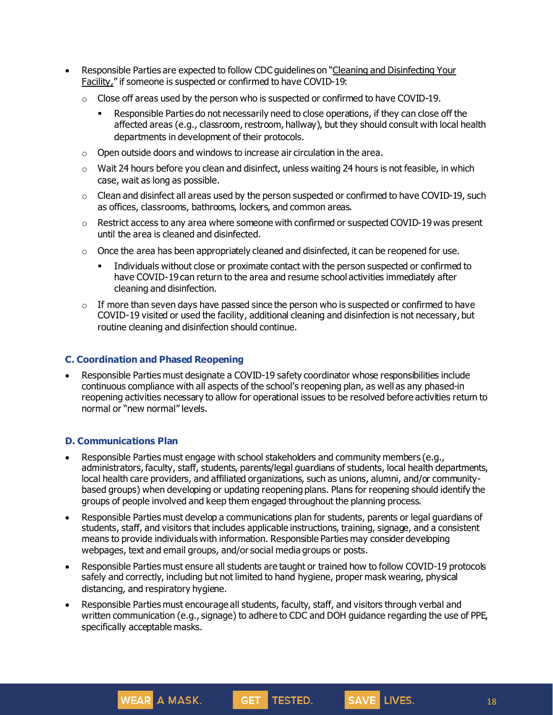- Responsible Parties are expected to follow CDC guidelines on "Cleaning and [Disinfecting](https://www.cdc.gov/coronavirus/2019-ncov/community/disinfecting-building-facility.html) Your [Facility,](https://www.cdc.gov/coronavirus/2019-ncov/community/disinfecting-building-facility.html)" if someone is suspected or confirmed to have COVID-19:
	- $\circ$  Close off areas used by the person who is suspected or confirmed to have COVID-19.
		- **EXECT** Responsible Parties do not necessarily need to close operations, if they can close off the affected areas (e.g., classroom, restroom, hallway), but they should consult with local health departments in development of their protocols.
	- $\circ$  Open outside doors and windows to increase air circulation in the area.
	- $\circ$  Wait 24 hours before you clean and disinfect, unless waiting 24 hours is not feasible, in which case, wait as long as possible.
	- $\circ$  Clean and disinfect all areas used by the person suspected or confirmed to have COVID-19, such as offices, classrooms, bathrooms, lockers, and common areas.
	- $\circ$  Restrict access to any area where someone with confirmed or suspected COVID-19 was present until the area is cleaned and disinfected.
	- $\circ$  Once the area has been appropriately cleaned and disinfected, it can be reopened for use.
		- Individuals without close or proximate contact with the person suspected or confirmed to have COVID-19 can return to the area and resume school activities immediately after cleaning and disinfection.
	- $\circ$  If more than seven days have passed since the person who is suspected or confirmed to have COVID-19 visited or used the facility, additional cleaning and disinfection is not necessary, but routine cleaning and disinfection should continue.

## **C. Coordination and Phased Reopening**

WEAR A MASK.

• Responsible Parties must designate a COVID-19 safety coordinator whose responsibilities include continuous compliance with all aspects of the school's reopening plan, as well as any phased-in reopening activities necessary to allow for operational issues to be resolved before activities return to normal or "new normal" levels.

## **D. Communications Plan**

- Responsible Parties must engage with school stakeholders and community members (e.g., administrators, faculty, staff, students, parents/legal guardians of students, local health departments, local health care providers, and affiliated organizations, such as unions, alumni, and/or communitybased groups) when developing or updating reopening plans. Plans for reopening should identify the groups of people involved and keep them engaged throughout the planning process.
- Responsible Parties must develop a communications plan for students, parents or legal guardians of students, staff, and visitors that includes applicable instructions, training, signage, and a consistent means to provide individuals with information. Responsible Parties may consider developing webpages, text and email groups, and/or social media groups or posts.
- Responsible Parties must ensure all students are taught or trained how to follow COVID-19 protocols safely and correctly, including but not limited to hand hygiene, proper mask wearing, physical distancing, and respiratory hygiene.
- Responsible Parties must encourage all students, faculty, staff, and visitors through verbal and written communication (e.g., signage) to adhere to CDC and DOH guidance regarding the use of PPE, specifically acceptable masks.

GET TESTED.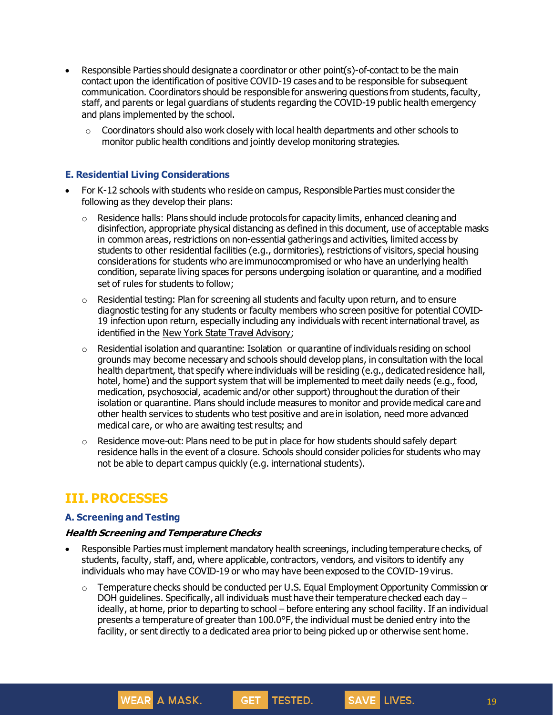- Responsible Parties should designate a coordinator or other point(s)-of-contact to be the main contact upon the identification of positive COVID-19 cases and to be responsible for subsequent communication. Coordinators should be responsible for answering questions from students, faculty, staff, and parents or legal guardians of students regarding the COVID-19 public health emergency and plans implemented by the school.
	- $\circ$  Coordinators should also work closely with local health departments and other schools to monitor public health conditions and jointly develop monitoring strategies.

#### **E. Residential Living Considerations**

- For K-12 schools with students who reside on campus, Responsible Parties must considerthe following as they develop their plans:
	- $\circ$  Residence halls: Plans should include protocols for capacity limits, enhanced cleaning and disinfection, appropriate physical distancing as defined in this document, use of acceptable masks in common areas, restrictions on non-essential gatherings and activities, limited access by students to other residential facilities (e.g., dormitories), restrictions of visitors, special housing considerations for students who are immunocompromised or who have an underlying health condition, separate living spaces for persons undergoing isolation or quarantine, and a modified set of rules for students to follow;
	- $\circ$  Residential testing: Plan for screening all students and faculty upon return, and to ensure diagnostic testing for any students or faculty members who screen positive for potential COVID-19 infection upon return, especially including any individuals with recent international travel, as identified in the New York State Travel [Advisory](https://coronavirus.health.ny.gov/covid-19-travel-advisory);
	- $\circ$  Residential isolation and quarantine: Isolation or quarantine of individuals residing on school grounds may become necessary and schools should develop plans, in consultation with the local health department, that specify where individuals will be residing (e.g., dedicated residence hall, hotel, home) and the support system that will be implemented to meet daily needs (e.g., food, medication, psychosocial, academic and/or other support) throughout the duration of their isolation or quarantine. Plans should include measures to monitor and provide medical care and other health services to students who test positive and are in isolation, need more advanced medical care, or who are awaiting test results; and
	- o Residence move-out: Plans need to be put in place for how students should safely depart residence halls in the event of a closure. Schools should consider policies for students who may not be able to depart campus quickly (e.g. international students).

# **III. PROCESSES**

#### **A. Screening and Testing**

#### **Health Screening and Temperature Checks**

WEAR A MASK.

- Responsible Parties must implement mandatory health screenings, including temperature checks, of students, faculty, staff, and, where applicable, contractors, vendors, and visitors to identify any individuals who may have COVID-19 or who may have been exposed to the COVID-19 virus.
	- $\circ$  Temperature checks should be conducted per U.S. Equal Employment Opportunity Commission or DOH guidelines. Specifically, all individuals must have their temperature checked each day – ideally, at home, prior to departing to school – before entering any school facility. If an individual presents a temperature of greater than 100.0°F, the individual must be denied entry into the facility, or sent directly to a dedicated area prior to being picked up or otherwise sent home.

GET TESTED.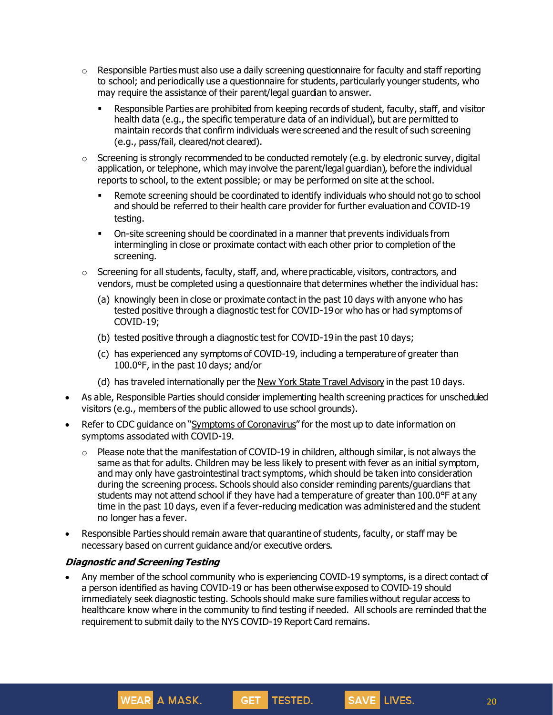- $\circ$  Responsible Parties must also use a daily screening questionnaire for faculty and staff reporting to school; and periodically use a questionnaire for students, particularly younger students, who may require the assistance of their parent/legal guardian to answer.
	- **EXE** Responsible Parties are prohibited from keeping records of student, faculty, staff, and visitor health data (e.g., the specific temperature data of an individual), but are permitted to maintain records that confirm individuals were screened and the result of such screening (e.g., pass/fail, cleared/not cleared).
- o Screening is strongly recommended to be conducted remotely (e.g. by electronic survey, digital application, or telephone, which may involve the parent/legal guardian), before the individual reports to school, to the extent possible; or may be performed on site at the school.
	- **•** Remote screening should be coordinated to identify individuals who should not go to school and should be referred to their health care provider for further evaluation and COVID-19 testing.
	- On-site screening should be coordinated in a manner that prevents individuals from intermingling in close or proximate contact with each other prior to completion of the screening.
- $\circ$  Screening for all students, faculty, staff, and, where practicable, visitors, contractors, and vendors, must be completed using a questionnaire that determines whether the individual has:
	- (a) knowingly been in close or proximate contact in the past 10 days with anyone who has tested positive through a diagnostic test for COVID-19 or who has or had symptoms of COVID-19;
	- (b) tested positive through a diagnostic test for COVID-19 in the past 10 days;
	- (c) has experienced any symptoms of COVID-19, including a temperature of greater than 100.0°F, in the past 10 days; and/or
	- (d) has traveled internationally per the New York State Travel [Advisory](https://coronavirus.health.ny.gov/covid-19-travel-advisory) in the past 10 days.
- As able, Responsible Parties should consider implementing health screening practices for unscheduled visitors (e.g., members of the public allowed to use school grounds).
- Refer to CDC guidance on "Symptoms of [Coronavirus](https://www.cdc.gov/coronavirus/2019-ncov/symptoms-testing/symptoms.html)" for the most up to date information on symptoms associated with COVID-19.
	- o Please note that the manifestation of COVID-19 in children, although similar, is not always the same as that for adults. Children may be less likely to present with fever as an initial symptom, and may only have gastrointestinal tract symptoms, which should be taken into consideration during the screening process. Schools should also consider reminding parents/guardians that students may not attend school if they have had a temperature of greater than 100.0°F at any time in the past 10 days, even if a fever-reducing medication was administered and the student no longer has a fever.
- Responsible Parties should remain aware that quarantine of students, faculty, or staff may be necessary based on current guidance and/or executive orders.

#### **Diagnostic and Screening Testing**

WEAR A MASK.

• Any member of the school community who is experiencing COVID-19 symptoms, is a direct contact of a person identified as having COVID-19 or has been otherwise exposed to COVID-19 should immediately seek diagnostic testing. Schools should make sure families without regular access to healthcare know where in the community to find testing if needed. All schools are reminded that the requirement to submit daily to the NYS COVID-19 Report Card remains.

GET TESTED.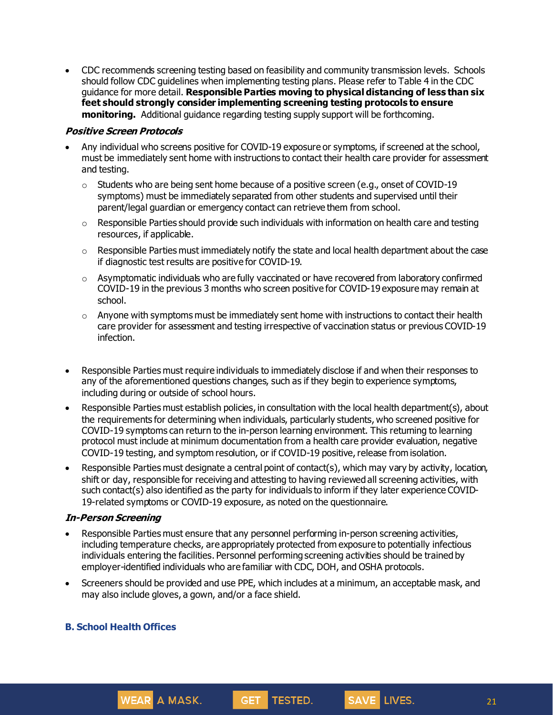• CDC recommends screening testing based on feasibility and community transmission levels. Schools should follow CDC guidelines when implementing testing plans. Please refer to Table 4 in the CDC guidance for more detail. **Responsible Parties moving to physical distancing of less than six feet should strongly consider implementing screening testing protocols to ensure monitoring.** Additional guidance regarding testing supply support will be forthcoming.

## **Positive Screen Protocols**

- Any individual who screens positive for COVID-19 exposure or symptoms, if screened at the school, must be immediately sent home with instructions to contact their health care provider for assessment and testing.
	- $\circ$  Students who are being sent home because of a positive screen (e.g., onset of COVID-19 symptoms) must be immediately separated from other students and supervised until their parent/legal guardian or emergency contact can retrieve them from school.
	- $\circ$  Responsible Parties should provide such individuals with information on health care and testing resources, if applicable.
	- $\circ$  Responsible Parties must immediately notify the state and local health department about the case if diagnostic test results are positive for COVID-19.
	- o Asymptomatic individuals who are fully vaccinated or have recovered from laboratory confirmed COVID-19 in the previous 3 months who screen positive for COVID-19 exposure may remain at school.
	- $\circ$  Anyone with symptoms must be immediately sent home with instructions to contact their health care provider for assessment and testing irrespective of vaccination status or previous COVID-19 infection.
- Responsible Parties must require individuals to immediately disclose if and when their responses to any of the aforementioned questions changes, such as if they begin to experience symptoms, including during or outside of school hours.
- Responsible Parties must establish policies, in consultation with the local health department(s), about the requirements for determining when individuals, particularly students, who screened positive for COVID-19 symptoms can return to the in-person learning environment. This returning to learning protocol must include at minimum documentation from a health care provider evaluation, negative COVID-19 testing, and symptom resolution, or if COVID-19 positive, release from isolation.
- Responsible Parties must designate a central point of contact(s), which may vary by activity, location, shift or day, responsible for receiving and attesting to having reviewed all screening activities, with such contact(s) also identified as the party for individuals to inform if they later experience COVID-19-related symptoms or COVID-19 exposure, as noted on the questionnaire.

#### **In-Person Screening**

- Responsible Parties must ensure that any personnel performing in-person screening activities, including temperature checks, are appropriately protected from exposure to potentially infectious individuals entering the facilities. Personnel performing screening activities should be trained by employer-identified individuals who are familiar with CDC, DOH, and OSHA protocols.
- Screeners should be provided and use PPE, which includes at a minimum, an acceptable mask, and may also include gloves, a gown, and/or a face shield.

GET TESTED.

## **B. School Health Offices**

**WEAR A MASK.** 

21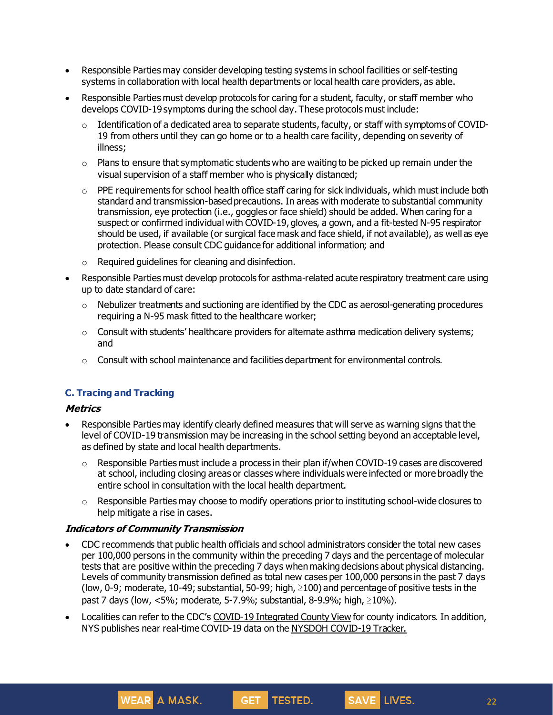- Responsible Parties may consider developing testing systems in school facilities or self-testing systems in collaboration with local health departments or local health care providers, as able.
- Responsible Parties must develop protocols for caring for a student, faculty, or staff member who develops COVID-19 symptoms during the school day. These protocols must include:
	- $\circ$  Identification of a dedicated area to separate students, faculty, or staff with symptoms of COVID-19 from others until they can go home or to a health care facility, depending on severity of illness;
	- $\circ$  Plans to ensure that symptomatic students who are waiting to be picked up remain under the visual supervision of a staff member who is physically distanced;
	- $\circ$  PPE requirements for school health office staff caring for sick individuals, which must include both standard and transmission-based precautions. In areas with moderate to substantial community transmission, eye protection (i.e., goggles or face shield) should be added. When caring for a suspect or confirmed individual with COVID-19, gloves, a gown, and a fit-tested N-95 respirator should be used, if available (or surgical face mask and face shield, if not available), as well as eye protection. Please consult CDC guidance for additional information; and
	- o Required guidelines for cleaning and disinfection.
- Responsible Parties must develop protocols for asthma-related acute respiratory treatment care using up to date standard of care:
	- $\circ$  Nebulizer treatments and suctioning are identified by the CDC as aerosol-generating procedures requiring a N-95 mask fitted to the healthcare worker;
	- $\circ$  Consult with students' healthcare providers for alternate asthma medication delivery systems; and
	- $\circ$  Consult with school maintenance and facilities department for environmental controls.

## **C. Tracing and Tracking**

#### **Metrics**

- Responsible Parties may identify clearly defined measures that will serve as warning signs that the level of COVID-19 transmission may be increasing in the school setting beyond an acceptable level, as defined by state and local health departments.
	- $\circ$  Responsible Parties must include a process in their plan if/when COVID-19 cases are discovered at school, including closing areas or classes where individuals were infected or more broadly the entire school in consultation with the local health department.
	- o Responsible Parties may choose to modify operations priorto instituting school-wide closures to help mitigate a rise in cases.

#### **Indicators of Community Transmission**

WEAR A MASK.

- CDC recommends that public health officials and school administrators consider the total new cases per 100,000 persons in the community within the preceding 7 days and the percentage of molecular tests that are positive within the preceding 7 days when making decisions about physical distancing. Levels of community transmission defined as total new cases per 100,000 persons in the past 7 days (low, 0-9; moderate, 10-49; substantial, 50-99; high,  $\geq$ 100) and percentage of positive tests in the past 7 days (low, <5%; moderate, 5-7.9%; substantial, 8-9.9%; high, ≥10%).
- Localities can refer to the CDC's COVID-19 [Integrated](https://covid.cdc.gov/covid-data-tracker/#datatracker-home) County View for county indicators. In addition, NYS publishes near real-time COVID-19 data on the NYSDOH [COVID-19](https://covid19tracker.health.ny.gov/views/NYS-COVID19-Tracker/NYSDOHCOVID-19Tracker-Map?%3Aembed=yes&%3Atoolbar=no&%3Atabs=n) Tracker.

GET TESTED.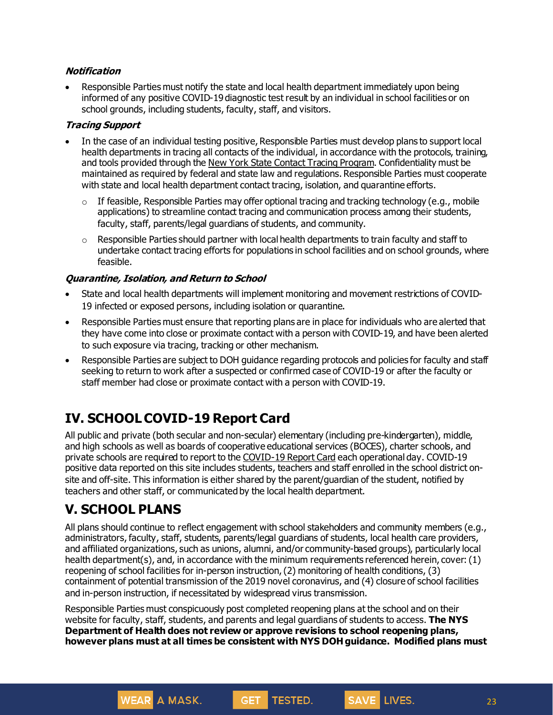## **Notification**

• Responsible Parties must notify the state and local health department immediately upon being informed of any positive COVID-19 diagnostic test result by an individual in school facilities or on school grounds, including students, faculty, staff, and visitors.

#### **Tracing Support**

- In the case of an individual testing positive, Responsible Parties must develop plans to support local health departments in tracing all contacts of the individual, in accordance with the protocols, training, and tools provided through the New York State Contact Tracing [Program](https://coronavirus.health.ny.gov/new-york-state-contact-tracing). Confidentiality must be maintained as required by federal and state law and regulations. Responsible Parties must cooperate with state and local health department contact tracing, isolation, and quarantine efforts.
	- $\circ$  If feasible, Responsible Parties may offer optional tracing and tracking technology (e.g., mobile applications) to streamline contact tracing and communication process among their students, faculty, staff, parents/legal guardians of students, and community.
	- $\circ$  Responsible Parties should partner with local health departments to train faculty and staff to undertake contact tracing efforts for populations in school facilities and on school grounds, where feasible.

## **Quarantine, Isolation, and Return to School**

- State and local health departments will implement monitoring and movement restrictions of COVID-19 infected or exposed persons, including isolation or quarantine.
- Responsible Parties must ensure that reporting plans are in place for individuals who are alerted that they have come into close or proximate contact with a person with COVID-19, and have been alerted to such exposure via tracing, tracking or other mechanism.
- Responsible Parties are subject to DOH guidance regarding protocols and policies for faculty and staff seeking to return to work after a suspected or confirmed case of COVID-19 or after the faculty or staff member had close or proximate contact with a person with COVID-19.

# **IV. SCHOOLCOVID-19 Report Card**

**WEAR** A MASK.

All public and private (both secular and non-secular) elementary (including pre-kindergarten), middle, and high schools as well as boards of cooperative educational services (BOCES), charter schools, and private schools are required to report to the [COVID-19](https://schoolcovidreportcard.health.ny.gov/#/searchResults) Report Card each operational day. COVID-19 positive data reported on this site includes students, teachers and staff enrolled in the school district onsite and off-site. This information is either shared by the parent/guardian of the student, notified by teachers and other staff, or communicated by the local health department.

# **V. SCHOOL PLANS**

All plans should continue to reflect engagement with school stakeholders and community members (e.g., administrators, faculty, staff, students, parents/legal guardians of students, local health care providers, and affiliated organizations, such as unions, alumni, and/or community-based groups), particularly local health department(s), and, in accordance with the minimum requirements referenced herein, cover: (1) reopening of school facilities for in-person instruction,(2) monitoring of health conditions, (3) containment of potential transmission of the 2019 novel coronavirus, and (4) closure of school facilities and in-person instruction, if necessitated by widespread virus transmission.

Responsible Parties must conspicuously post completed reopening plans at the school and on their website for faculty, staff, students, and parents and legal guardians of students to access. **The NYS Department of Health does not review or approve revisions to school reopening plans, however plans must at all times be consistent with NYS DOH guidance. Modified plans must**

TESTED.

**GET**